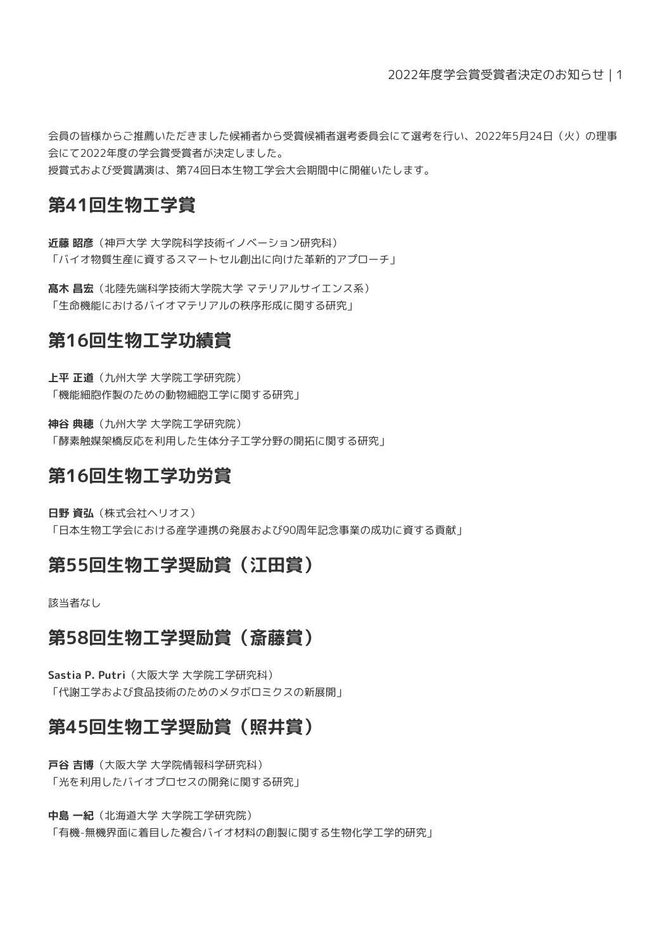会員の皆様からご推薦いただきました候補者から受賞候補者選考委員会にて選考を行い、2022年5月24日(火)の理事 会にて2022年度の学会賞受賞者が決定しました。 授賞式および受賞講演は、第74回日本生物工学会大会期間中に開催いたします。

### **第41回生物工学賞**

**近藤 昭彦**(神戸大学 大学院科学技術イノベーション研究科) 「バイオ物質生産に資するスマートセル創出に向けた革新的アプローチ」

**髙木 昌宏**(北陸先端科学技術大学院大学 マテリアルサイエンス系) 「生命機能におけるバイオマテリアルの秩序形成に関する研究」

# **第16回生物工学功績賞**

**上平 正道**(九州大学 大学院工学研究院) 「機能細胞作製のための動物細胞工学に関する研究」

**神谷 典穂**(九州大学 大学院工学研究院) 「酵素触媒架橋反応を利用した生体分子工学分野の開拓に関する研究」

# **第16回生物工学功労賞**

**日野 資弘**(株式会社ヘリオス)

「日本生物工学会における産学連携の発展および90周年記念事業の成功に資する貢献」

### **第55回生物工学奨励賞(江田賞)**

該当者なし

### **第58回生物工学奨励賞(斎藤賞)**

**Sastia P. Putri**(大阪大学 大学院工学研究科) 「代謝工学および食品技術のためのメタボロミクスの新展開」

# **第45回生物工学奨励賞(照井賞)**

**戸谷 吉博**(大阪大学 大学院情報科学研究科) 「光を利用したバイオプロセスの開発に関する研究」

**中島 一紀**(北海道大学 大学院工学研究院) 「有機-無機界面に着目した複合バイオ材料の創製に関する生物化学工学的研究」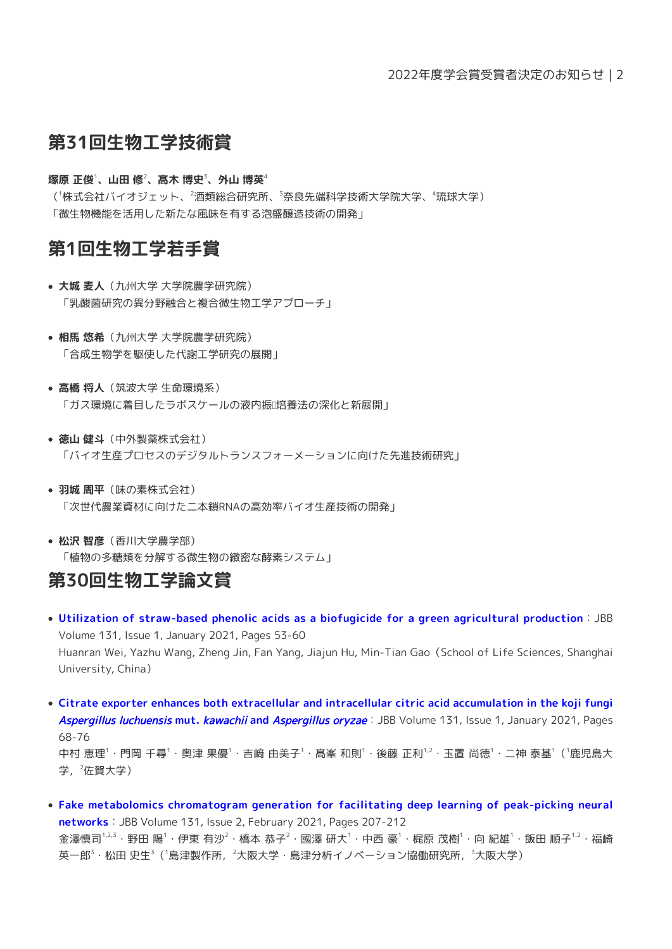### **第31回生物工学技術賞**

#### **塚原 正俊**<sup>1</sup>**、山田 修**<sup>2</sup>**、髙木 博史**<sup>3</sup>**、外山 博英**<sup>4</sup>

( <sup>1</sup>株式会社バイオジェット、<sup>2</sup>酒類総合研究所、<sup>3</sup>奈良先端科学技術大学院大学、<sup>4</sup>琉球大学) 「微生物機能を活用した新たな風味を有する泡盛醸造技術の開発」

### **第1回生物工学若手賞**

- **大城 麦人**(九州大学 大学院農学研究院) 「乳酸菌研究の異分野融合と複合微生物工学アプローチ」
- **相馬 悠希**(九州大学 大学院農学研究院) 「合成生物学を駆使した代謝工学研究の展開」
- **高橋 将人**(筑波大学 生命環境系) 「ガス環境に着目したラボスケールの液内振』培養法の深化と新展開」
- **徳山 健斗**(中外製薬株式会社) 「バイオ生産プロセスのデジタルトランスフォーメーションに向けた先進技術研究」
- **羽城 周平**(味の素株式会社) 「次世代農業資材に向けた二本鎖RNAの高効率バイオ生産技術の開発」
- **松沢 智彦**(香川大学農学部) 「植物の多糖類を分解する微生物の緻密な酵素システム」

### **第30回生物工学論文賞**

- **[Utilization of straw-based phenolic acids as a biofugicide for a green agricultural production](https://doi.org/10.1016/j.jbiosc.2020.09.007)**:JBB Volume 131, Issue 1, January 2021, Pages 53-60 Huanran Wei, Yazhu Wang, Zheng Jin, Fan Yang, Jiajun Hu, Min-Tian Gao(School of Life Sciences, Shanghai University, China)
- **[Citrate exporter enhances both extracellular and intracellular citric acid accumulation in the koji fungi](https://doi.org/10.1016/j.jbiosc.2020.09.002)** [Aspergillus luchuensis](https://doi.org/10.1016/j.jbiosc.2020.09.002) **[mut.](https://doi.org/10.1016/j.jbiosc.2020.09.002)** [kawachii](https://doi.org/10.1016/j.jbiosc.2020.09.002) **[and](https://doi.org/10.1016/j.jbiosc.2020.09.002)** [Aspergillus oryzae](https://doi.org/10.1016/j.jbiosc.2020.09.002):JBB Volume 131, Issue 1, January 2021, Pages 68-76 中村 恵理 $^1\cdot$ 門岡 千尋 $^1\cdot$ 奥津 果優 $^1\cdot$ 吉﨑 由美子 $^1\cdot$ 髙塞 和則 $^1\cdot$ 後藤 正利 $^{1,2}\cdot$ 玉置 尚徳 $^1\cdot$ 二神 泰基 $^1$  ( $^1$ 鹿児島大 学, $2$ 佐賀大学)
- **[Fake metabolomics chromatogram generation for facilitating deep learning of peak-picking neural](https://doi.org/10.1016/j.jbiosc.2020.09.013) [networks](https://doi.org/10.1016/j.jbiosc.2020.09.013)**:JBB Volume 131, Issue 2, February 2021, Pages 207-212 金澤慎司 $^{1,2,3}$ ・野田 陽 $^1$ ・伊東 有沙 $^2$ ・橋本 恭子 $^2$ ・國澤 研大 $^1$ ・中西 豪 $^1$ ・梶原 茂樹 $^1$ ・向 紀雄 $^1$ ・飯田 順子 $^{1,2}$ ・福崎 英一郎 $^3$ ・松田 史生 $^3$ ( $^1$ 島津製作所, $^2$ 大阪大学・島津分析イノベーション協働研究所, $^3$ 大阪大学)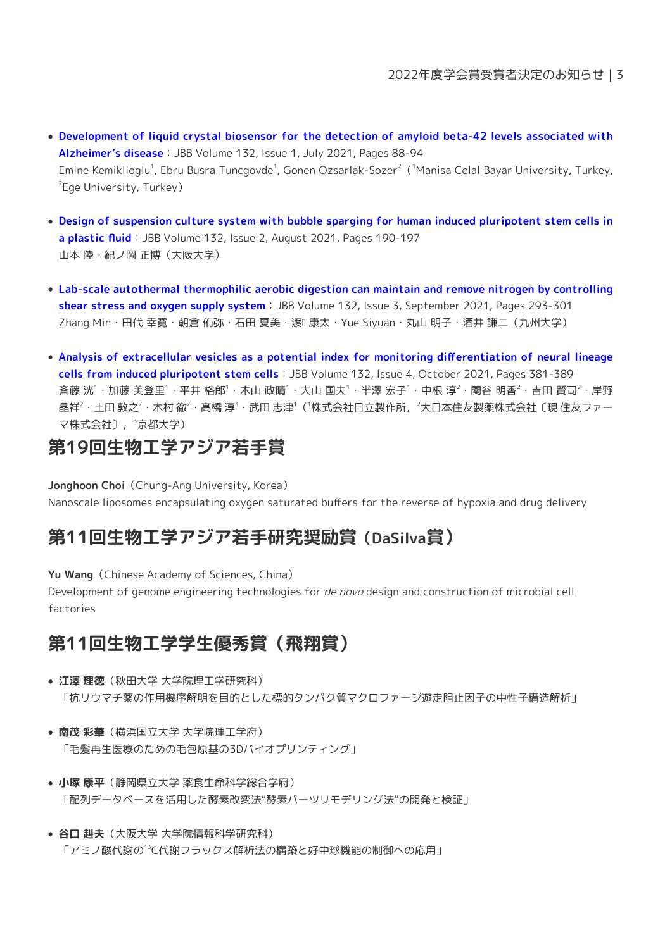- **[Development of liquid crystal biosensor for the detection of amyloid beta-42 levels associated with](https://doi.org/10.1016/j.jbiosc.2021.03.016) [Alzheimer's disease](https://doi.org/10.1016/j.jbiosc.2021.03.016)**:JBB Volume 132, Issue 1, July 2021, Pages 88-94 Emine Kemiklioglu<sup>1</sup>, Ebru Busra Tuncgovde<sup>1</sup>, Gonen Ozsarlak-Sozer<sup>2</sup> ('Manisa Celal Bayar University, Turkey, 2 Ege University, Turkey)
- **[Design of suspension culture system with bubble sparging for human induced pluripotent stem cells in](https://doi.org/10.1016/j.jbiosc.2021.04.010)** a **plastic fluid**: JBB Volume 132, Issue 2, August 2021, Pages 190-197 山本 陸・紀ノ岡 正博(大阪大学)
- **[Lab-scale autothermal thermophilic aerobic digestion can maintain and remove nitrogen by controlling](https://doi.org/10.1016/j.jbiosc.2021.05.008) [shear stress and oxygen supply system](https://doi.org/10.1016/j.jbiosc.2021.05.008)**:JBB Volume 132, Issue 3, September 2021, Pages 293-301 Zhang Min・田代 幸寛・朝倉 侑弥・石田 夏美・渡ロ 康太・Yue Siyuan・丸山 明子・酒井 謙二(九州大学)
- **[Analysis of extracellular vesicles as a potential index for monitoring differentiation of neural lineage](https://doi.org/10.1016/j.jbiosc.2021.06.004) [cells from induced pluripotent stem cells](https://doi.org/10.1016/j.jbiosc.2021.06.004)**:JBB Volume 132, Issue 4, October 2021, Pages 381-389 斉藤 洸 $^1$ ・加藤 美登里 $^1$ ・平井 格郎 $^1$ ・木山 政晴 $^1$ ・大山 国夫 $^1$ ・半澤 宏子 $^1$ ・中根 淳 $^2$ ・関谷 明香 $^2$ ・吉田 賢司 $^2$ ・岸野 晶祥 $^2$ ・土田 敦之 $^2$ ・木村 徹 $^2$ ・髙橋 淳 $^3$ ・武田 志津 $^1$ ( $^1$ 株式会社日立製作所,  $^2$ 大日本住友製薬株式会社〔現 住友ファー マ株式会社〕, 3京都大学)

# **第19回生物工学アジア若手賞**

Jonghoon Choi (Chung-Ang University, Korea) Nanoscale liposomes encapsulating oxygen saturated buffers for the reverse of hypoxia and drug delivery

# **第11回生物工学アジア若手研究奨励賞(DaSilva賞)**

Yu Wang (Chinese Academy of Sciences, China)

Development of genome engineering technologies for de novo design and construction of microbial cell factories

# **第11回生物工学学生優秀賞(飛翔賞)**

- **江澤 理徳**(秋田大学 大学院理工学研究科) 「抗リウマチ薬の作用機序解明を目的とした標的タンパク質マクロファージ遊走阻止因子の中性子構造解析」
- **南茂 彩華**(横浜国立大学 大学院理工学府) 「毛髪再生医療のための毛包原基の3Dバイオプリンティング」
- **小塚 康平**(静岡県立大学 薬食生命科学総合学府) 「配列データベースを活用した酵素改変法"酵素パーツリモデリング法"の開発と検証」
- **谷口 赳夫**(大阪大学 大学院情報科学研究科) 「アミノ酸代謝の <sup>13</sup>C代謝フラックス解析法の構築と好中球機能の制御への応用」